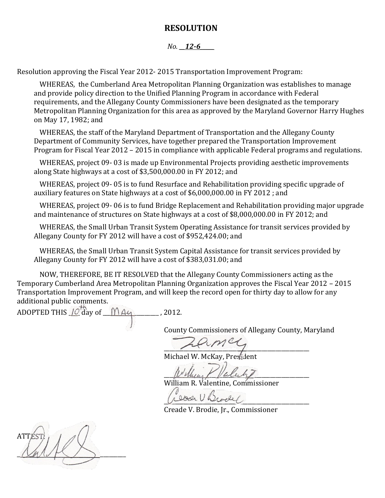#### **RESOLUTION**

#### *No.* 12-6

Resolution approving the Fiscal Year 2012- 2015 Transportation Improvement Program:

WHEREAS, the Cumberland Area Metropolitan Planning Organization was establishes to manage and provide policy direction to the Unified Planning Program in accordance with Federal requirements, and the Allegany County Commissioners have been designated as the temporary Metropolitan Planning Organization for this area as approved by the Maryland Governor Harry Hughes on May 17, 1982; and

WHEREAS, the staff of the Maryland Department of Transportation and the Allegany County Department of Community Services, have together prepared the Transportation Improvement Program for Fiscal Year 2012 – 2015 in compliance with applicable Federal programs and regulations.

WHEREAS, project 09- 03 is made up Environmental Projects providing aesthetic improvements along State highways at a cost of \$3,500,000.00 in FY 2012; and

WHEREAS, project 09- 05 is to fund Resurface and Rehabilitation providing specific upgrade of auxiliary features on State highways at a cost of \$6,000,000.00 in FY 2012 ; and

WHEREAS, project 09- 06 is to fund Bridge Replacement and Rehabilitation providing major upgrade and maintenance of structures on State highways at a cost of \$8,000,000.00 in FY 2012; and

WHEREAS, the Small Urban Transit System Operating Assistance for transit services provided by Allegany County for FY 2012 will have a cost of \$952,424.00; and

WHEREAS, the Small Urban Transit System Capital Assistance for transit services provided by Allegany County for FY 2012 will have a cost of \$383,031.00; and

NOW, THEREFORE, BE IT RESOLVED that the Allegany County Commissioners acting as the Temporary Cumberland Area Metropolitan Planning Organization approves the Fiscal Year 2012 – 2015 Transportation Improvement Program, and will keep the record open for thirty day to allow for any additional public comments.

ADOPTED THIS  $10^{+6}$  day of  $10^{+6}$  day of  $10^{+6}$  and  $2012$ .

County Commissioners of Allegany County, Maryland

 $\overline{\phantom{a}}$ 

Michael W. McKay, President

 $w_{\mu}$  then  $\mu$  value by

William R. Valentine, Commissioner

soon U Brocket

Creade V. Brodie, Jr., Commissioner

ATTEST:  $\alpha$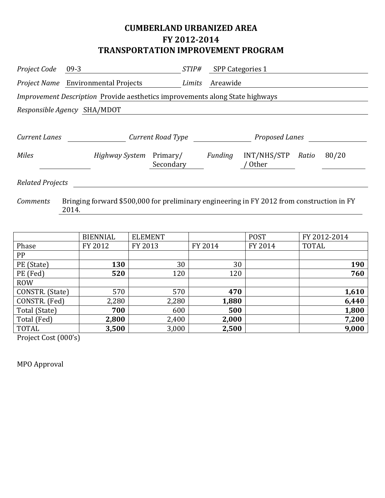# **CUMBERLAND URBANIZED AREA FY 2012-2014 TRANSPORTATION IMPROVEMENT PROGRAM**

| Project Code            | $09-3$                                                                              |                       | <i>STIP#</i> | <b>SPP Categories 1</b> |                             |       |       |  |
|-------------------------|-------------------------------------------------------------------------------------|-----------------------|--------------|-------------------------|-----------------------------|-------|-------|--|
|                         | <i>Project Name</i> Environmental Projects                                          |                       | Limits       | Areawide                |                             |       |       |  |
|                         | <i>Improvement Description</i> Provide aesthetics improvements along State highways |                       |              |                         |                             |       |       |  |
|                         | Responsible Agency SHA/MDOT                                                         |                       |              |                         |                             |       |       |  |
|                         |                                                                                     |                       |              |                         |                             |       |       |  |
| <b>Current Lanes</b>    |                                                                                     | Current Road Type     |              |                         | Proposed Lanes              |       |       |  |
| <b>Miles</b>            | Highway System                                                                      | Primary/<br>Secondary |              | Funding                 | INT/NHS/STP<br><b>Other</b> | Ratio | 80/20 |  |
| <b>Related Projects</b> |                                                                                     |                       |              |                         |                             |       |       |  |

*Comments* Bringing forward \$500,000 for preliminary engineering in FY 2012 from construction in FY 2014.

|                 | <b>BIENNIAL</b> | <b>ELEMENT</b> |         | <b>POST</b> | FY 2012-2014 |
|-----------------|-----------------|----------------|---------|-------------|--------------|
| Phase           | FY 2012         | FY 2013        | FY 2014 | FY 2014     | <b>TOTAL</b> |
| PP              |                 |                |         |             |              |
| PE (State)      | 130             | 30             | 30      |             | 190          |
| PE (Fed)        | 520             | 120            | 120     |             | 760          |
| <b>ROW</b>      |                 |                |         |             |              |
| CONSTR. (State) | 570             | 570            | 470     |             | 1,610        |
| CONSTR. (Fed)   | 2,280           | 2,280          | 1,880   |             | 6,440        |
| Total (State)   | 700             | 600            | 500     |             | 1,800        |
| Total (Fed)     | 2,800           | 2,400          | 2,000   |             | 7,200        |
| TOTAL           | 3,500           | 3,000          | 2,500   |             | 9,000        |

Project Cost (000's)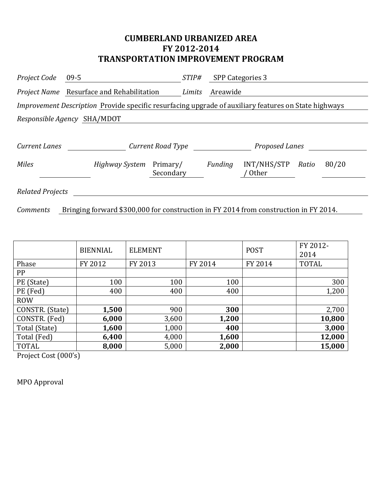#### **CUMBERLAND URBANIZED AREA FY 2012-2014 TRANSPORTATION IMPROVEMENT PROGRAM**

| Project Code                | 09-5                                                                                                 | <i>STIP#</i>          | <b>SPP Categories 3</b> |                             |       |       |  |
|-----------------------------|------------------------------------------------------------------------------------------------------|-----------------------|-------------------------|-----------------------------|-------|-------|--|
|                             | Project Name Resurface and Rehabilitation                                                            | Limits                | Areawide                |                             |       |       |  |
|                             | Improvement Description Provide specific resurfacing upgrade of auxiliary features on State highways |                       |                         |                             |       |       |  |
| Responsible Agency SHA/MDOT |                                                                                                      |                       |                         |                             |       |       |  |
|                             |                                                                                                      |                       |                         |                             |       |       |  |
| Current Lanes               |                                                                                                      | Current Road Type     |                         | Proposed Lanes              |       |       |  |
| <b>Miles</b>                | Highway System                                                                                       | Primary/<br>Secondary | Funding                 | INT/NHS/STP<br><b>Other</b> | Ratio | 80/20 |  |
| <b>Related Projects</b>     |                                                                                                      |                       |                         |                             |       |       |  |

*Comments* Bringing forward \$300,000 for construction in FY 2014 from construction in FY 2014.

|                 | <b>BIENNIAL</b> | <b>ELEMENT</b> |         | <b>POST</b> | FY 2012-<br>2014 |
|-----------------|-----------------|----------------|---------|-------------|------------------|
| Phase           | FY 2012         | FY 2013        | FY 2014 | FY 2014     | <b>TOTAL</b>     |
| PP              |                 |                |         |             |                  |
| PE (State)      | 100             | 100            | 100     |             | 300              |
| PE (Fed)        | 400             | 400            | 400     |             | 1,200            |
| <b>ROW</b>      |                 |                |         |             |                  |
| CONSTR. (State) | 1,500           | 900            | 300     |             | 2,700            |
| CONSTR. (Fed)   | 6,000           | 3,600          | 1,200   |             | 10,800           |
| Total (State)   | 1,600           | 1,000          | 400     |             | 3,000            |
| Total (Fed)     | 6,400           | 4,000          | 1,600   |             | 12,000           |
| <b>TOTAL</b>    | 8,000           | 5,000          | 2,000   |             | 15,000           |

Project Cost (000's)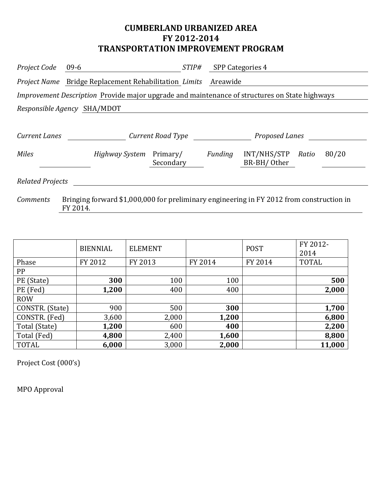## **CUMBERLAND URBANIZED AREA FY 2012-2014 TRANSPORTATION IMPROVEMENT PROGRAM**

| Project Code                                                                                  | $09-6$                                                              | <i>STIP#</i>      |          | <b>SPP Categories 4</b>    |       |       |  |
|-----------------------------------------------------------------------------------------------|---------------------------------------------------------------------|-------------------|----------|----------------------------|-------|-------|--|
|                                                                                               | <i>Project Name</i> Bridge Replacement Rehabilitation <i>Limits</i> |                   | Areawide |                            |       |       |  |
| Improvement Description Provide major upgrade and maintenance of structures on State highways |                                                                     |                   |          |                            |       |       |  |
| Responsible Agency SHA/MDOT                                                                   |                                                                     |                   |          |                            |       |       |  |
|                                                                                               |                                                                     |                   |          |                            |       |       |  |
| Current Lanes                                                                                 |                                                                     | Current Road Type |          | Proposed Lanes             |       |       |  |
| <b>Miles</b>                                                                                  | <i>Highway System</i> Primary/                                      | Secondary         | Funding  | INT/NHS/STP<br>BR-BH/Other | Ratio | 80/20 |  |
| <b>Related Projects</b>                                                                       |                                                                     |                   |          |                            |       |       |  |

*Comments* Bringing forward \$1,000,000 for preliminary engineering in FY 2012 from construction in FY 2014.

|                 | <b>BIENNIAL</b> | <b>ELEMENT</b> |         | <b>POST</b> | FY 2012-<br>2014 |
|-----------------|-----------------|----------------|---------|-------------|------------------|
| Phase           | FY 2012         | FY 2013        | FY 2014 | FY 2014     | <b>TOTAL</b>     |
| PP              |                 |                |         |             |                  |
| PE (State)      | 300             | 100            | 100     |             | 500              |
| PE (Fed)        | 1,200           | 400            | 400     |             | 2,000            |
| <b>ROW</b>      |                 |                |         |             |                  |
| CONSTR. (State) | 900             | 500            | 300     |             | 1,700            |
| CONSTR. (Fed)   | 3,600           | 2,000          | 1,200   |             | 6,800            |
| Total (State)   | 1,200           | 600            | 400     |             | 2,200            |
| Total (Fed)     | 4,800           | 2,400          | 1,600   |             | 8,800            |
| <b>TOTAL</b>    | 6,000           | 3,000          | 2,000   |             | 11,000           |

Project Cost (000's)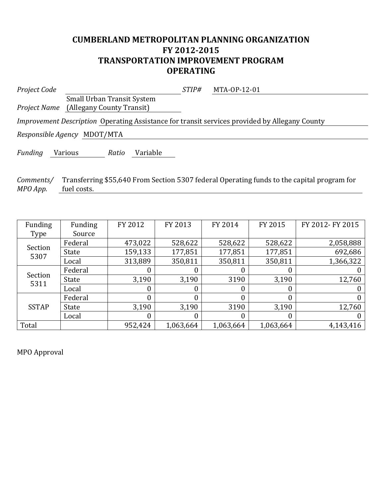## **CUMBERLAND METROPOLITAN PLANNING ORGANIZATION FY 2012-2015 TRANSPORTATION IMPROVEMENT PROGRAM OPERATING**

| Project Code                                                                                         |                                               | STIP# | MTA-0P-12-01 |  |  |
|------------------------------------------------------------------------------------------------------|-----------------------------------------------|-------|--------------|--|--|
|                                                                                                      | <b>Small Urban Transit System</b>             |       |              |  |  |
|                                                                                                      | <i>Project Name</i> (Allegany County Transit) |       |              |  |  |
| <i>Improvement Description</i> Operating Assistance for transit services provided by Allegany County |                                               |       |              |  |  |
| Responsible Agency MDOT/MTA                                                                          |                                               |       |              |  |  |
|                                                                                                      |                                               |       |              |  |  |

*Funding* Various *Ratio* Variable

*Comments/* Transferring \$55,640 From Section 5307 federal Operating funds to the capital program for *MPO App.* fuel costs.

| Funding         | Funding | FY 2012 | FY 2013   | FY 2014          | FY 2015   | FY 2012- FY 2015 |
|-----------------|---------|---------|-----------|------------------|-----------|------------------|
| Type            | Source  |         |           |                  |           |                  |
|                 | Federal | 473,022 | 528,622   | 528,622          | 528,622   | 2,058,888        |
| Section<br>5307 | State   | 159,133 | 177,851   | 177,851          | 177,851   | 692,686          |
|                 | Local   | 313,889 | 350,811   | 350,811          | 350,811   | 1,366,322        |
| Section<br>5311 | Federal | 0       | 0         | 0                |           |                  |
|                 | State   | 3,190   | 3,190     | 3190             | 3,190     | 12,760           |
|                 | Local   | 0       | 0         | 0                | 0         |                  |
|                 | Federal | 0       | 0         | 0                |           |                  |
| <b>SSTAP</b>    | State   | 3,190   | 3,190     | 3190             | 3,190     | 12,760           |
|                 | Local   | 0       | 0         | $\boldsymbol{0}$ | 0         |                  |
| Total           |         | 952,424 | 1,063,664 | 1,063,664        | 1,063,664 | 4,143,416        |